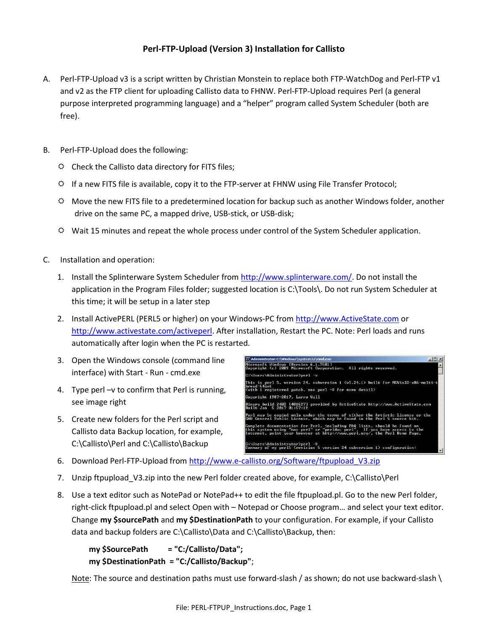## **Perl-FTP-Upload (Version 3) Installation for Callisto**

- A. Perl-FTP-Upload v3 is a script written by Christian Monstein to replace both FTP-WatchDog and Perl-FTP v1 and v2 as the FTP client for uploading Callisto data to FHNW. Perl-FTP-Upload requires Perl (a general purpose interpreted programming language) and a "helper" program called System Scheduler (both are free).
- B. Perl-FTP-Upload does the following:
	- $\Leftrightarrow$  Check the Callisto data directory for FITS files;
	- $\ddot{\varphi}$  If a new FITS file is available, copy it to the FTP-server at FHNW using File Transfer Protocol;
	- $\heartsuit$  Move the new FITS file to a predetermined location for backup such as another Windows folder, another drive on the same PC, a mapped drive, USB-stick, or USB-disk;
	- $\ddot{\varphi}$  Wait 15 minutes and repeat the whole process under control of the System Scheduler application.
- C. Installation and operation:
	- 1. Install the Splinterware System Scheduler from http://www.splinterware.com/. Do not install the application in the Program Files folder; suggested location is C:\Tools\. Do not run System Scheduler at this time; it will be setup in a later step
	- 2. Install ActivePERL (PERL5 or higher) on your Windows-PC from http://www.ActiveState.com or http://www.activestate.com/activeperl. After installation, Restart the PC. Note: Perl loads and runs automatically after login when the PC is restarted.
	- 3. Open the Windows console (command line interface) with Start - Run - cmd.exe
	- 4. Type perl –v to confirm that Perl is running, see image right
	- 5. Create new folders for the Perl script and Callisto data Backup location, for example, C:\Callisto\Perl and C:\Callisto\Backup



- 6. Download Perl-FTP-Upload from http://www.e-callisto.org/Software/ftpupload\_V3.zip
- 7. Unzip ftpupload\_V3.zip into the new Perl folder created above, for example, C:\Callisto\Perl
- 8. Use a text editor such as NotePad or NotePad++ to edit the file ftpupload.pl. Go to the new Perl folder, right-click ftpupload.pl and select Open with – Notepad or Choose program… and select your text editor. Change **my \$sourcePath** and **my \$DestinationPath** to your configuration. For example, if your Callisto data and backup folders are C:\Callisto\Data and C:\Callisto\Backup, then:

**my \$SourcePath = "C:/Callisto/Data"; my \$DestinationPath = "C:/Callisto/Backup"**;

Note: The source and destination paths must use forward-slash / as shown; do not use backward-slash  $\langle$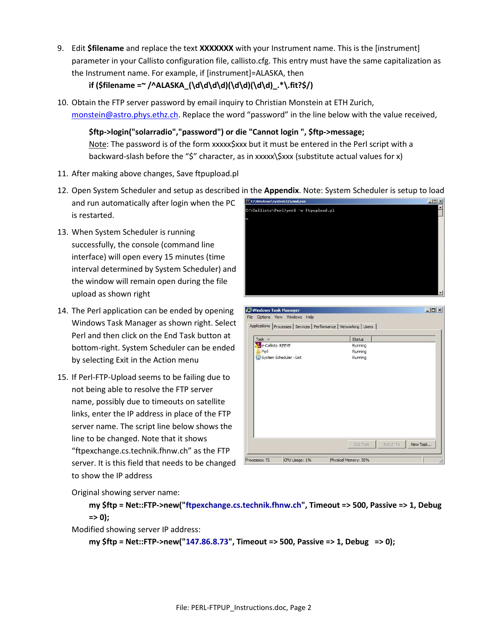9. Edit **\$filename** and replace the text **XXXXXXX** with your Instrument name. This is the [instrument] parameter in your Callisto configuration file, callisto.cfg. This entry must have the same capitalization as the Instrument name. For example, if [instrument]=ALASKA, then

## **if (\$filename =~ /^ALASKA\_(\d\d\d\d)(\d\d)(\d\d)\_.\*\.fit?\$/)**

10. Obtain the FTP server password by email inquiry to Christian Monstein at ETH Zurich, monstein@astro.phys.ethz.ch. Replace the word "password" in the line below with the value received,

**\$ftp->login("solarradio","password") or die "Cannot login ", \$ftp->message;** Note: The password is of the form xxxxx\$xxx but it must be entered in the Perl script with a backward-slash before the "\$" character, as in xxxxx\\$xxx (substitute actual values for x)

- 11. After making above changes, Save ftpupload.pl
- 12. Open System Scheduler and setup as described in the **Appendix**. Note: System Scheduler is setup to load
- and run automatically after login when the PC is restarted.
- 13. When System Scheduler is running successfully, the console (command line interface) will open every 15 minutes (time interval determined by System Scheduler) and the window will remain open during the file upload as shown right
- 14. The Perl application can be ended by opening Windows Task Manager as shown right. Select Perl and then click on the End Task button at bottom-right. System Scheduler can be ended by selecting Exit in the Action menu
- 15. If Perl-FTP-Upload seems to be failing due to not being able to resolve the FTP server name, possibly due to timeouts on satellite links, enter the IP address in place of the FTP server name. The script line below shows the line to be changed. Note that it shows "ftpexchange.cs.technik.fhnw.ch" as the FTP server. It is this field that needs to be changed to show the IP address



| Applications   Processes   Services   Performance   Networking   Users |          |                       |
|------------------------------------------------------------------------|----------|-----------------------|
| Task $-$                                                               | Status   |                       |
| 4 e-Callisto REEVE                                                     | Running  |                       |
| Perl                                                                   | Running  |                       |
| System Scheduler - List                                                | Running  |                       |
|                                                                        |          |                       |
|                                                                        |          |                       |
|                                                                        | End Task | Switch To<br>New Task |

Original showing server name:

**my \$ftp = Net::FTP->new("ftpexchange.cs.technik.fhnw.ch", Timeout => 500, Passive => 1, Debug => 0);**

Modified showing server IP address:

**my \$ftp = Net::FTP->new("147.86.8.73", Timeout => 500, Passive => 1, Debug => 0);**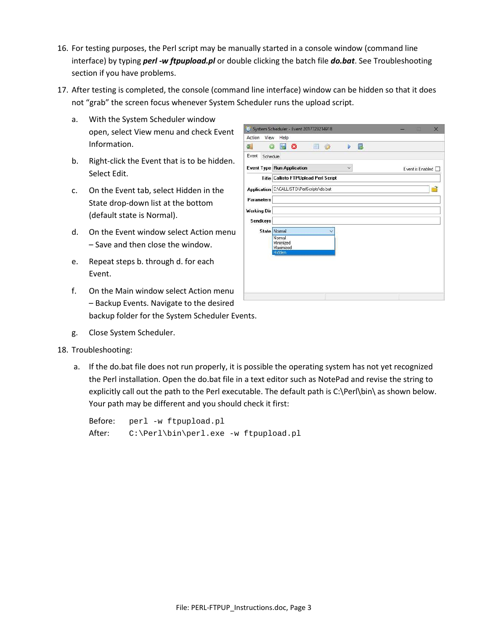- 16. For testing purposes, the Perl script may be manually started in a console window (command line interface) by typing *perl -w ftpupload.pl* or double clicking the batch file *do.bat*. See Troubleshooting section if you have problems.
- 17. After testing is completed, the console (command line interface) window can be hidden so that it does not "grab" the screen focus whenever System Scheduler runs the upload script.
	- a. With the System Scheduler window open, select View menu and check Event Information.
	- b. Right-click the Event that is to be hidden. Select Edit.
	- c. On the Event tab, select Hidden in the State drop-down list at the bottom (default state is Normal).
	- d. On the Event window select Action menu – Save and then close the window.
	- e. Repeat steps b. through d. for each Event.
	- f. On the Main window select Action menu – Backup Events. Navigate to the desired backup folder for the System Scheduler Events.
	- g. Close System Scheduler.
- 18. Troubleshooting:
	- a. If the do.bat file does not run properly, it is possible the operating system has not yet recognized the Perl installation. Open the do.bat file in a text editor such as NotePad and revise the string to explicitly call out the path to the Perl executable. The default path is C:\Perl\bin\ as shown below. Your path may be different and you should check it first:

|        | Before: perl -w ftpupload.pl         |
|--------|--------------------------------------|
| After: | C:\Perl\bin\perl.exe -w ftpupload.pl |

| Event<br>Schedule  |                                                          |                  |
|--------------------|----------------------------------------------------------|------------------|
|                    | $\ddot{\mathbf{v}}$<br><b>Event Type Run Application</b> | Event is Enabled |
|                    | Title Callisto FTPUpload Perl Script                     |                  |
|                    | Application C:\CALLISTO\PerlScripts\do.bat               | ₽                |
| Parameters         |                                                          |                  |
| <b>Working Dir</b> |                                                          |                  |
| Sendkeys           |                                                          |                  |
|                    | State Normal                                             |                  |
|                    | Normal<br>Minimized<br>Maximized                         |                  |
|                    | Hidden                                                   |                  |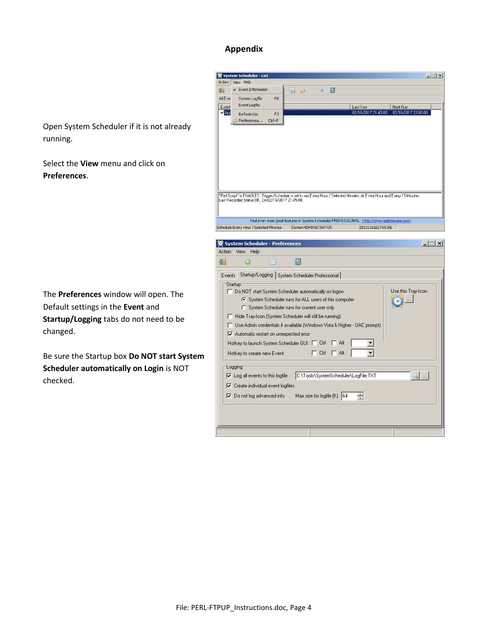## **Appendix**

Open System Scheduler if it is not already running.

Select the **View** menu and click on **Preferences**.

The **Preferences** window will open. The Default settings in the **Event** and **Startup/Logging** tabs do not need to be changed.

Be sure the Startup box **Do NOT start System Scheduler automatically on Login** is NOT checked.

| 塚                      | View Help                                                                                                            |                                                                                                                                                                                                                                                                                                                 |                                 |                                 |
|------------------------|----------------------------------------------------------------------------------------------------------------------|-----------------------------------------------------------------------------------------------------------------------------------------------------------------------------------------------------------------------------------------------------------------------------------------------------------------|---------------------------------|---------------------------------|
|                        | ↓ Event Information                                                                                                  | 扃<br>嘳<br>$-25$                                                                                                                                                                                                                                                                                                 |                                 |                                 |
| All Eve                | System Logfile<br>F <sub>8</sub><br>Event Logfile                                                                    |                                                                                                                                                                                                                                                                                                                 |                                 |                                 |
| Event<br>$\sqrt{A}$ pr |                                                                                                                      |                                                                                                                                                                                                                                                                                                                 | Last Run<br>02/16/2017 21:45:00 | Next Run<br>02/16/2017 22:00:00 |
|                        | Refresh List<br>F <sub>5</sub><br>Preferences<br>$Ctr$ $H$                                                           |                                                                                                                                                                                                                                                                                                                 |                                 |                                 |
|                        |                                                                                                                      |                                                                                                                                                                                                                                                                                                                 |                                 |                                 |
|                        | Last Recorded Status: OK. On: 02/16/2017 21:45:00.                                                                   | "Perl Script" is ENABLED, Trigger/Schedule is set to run Every Hour / Selected Minutes. At Every Hour and Every 15 Minutes.                                                                                                                                                                                     |                                 |                                 |
|                        |                                                                                                                      | Find even more great features in System Scheduler PROFESSIONAL: <http: www.splinterware.com=""></http:>                                                                                                                                                                                                         |                                 |                                 |
|                        | Schedule: Every Hour / Selected Minutes                                                                              | Owner: ADMINISTRATOR                                                                                                                                                                                                                                                                                            | 2017216182734.INI               |                                 |
|                        |                                                                                                                      | Events Startup/Logging System Scheduler Professional                                                                                                                                                                                                                                                            |                                 |                                 |
|                        | Startup<br>$\triangleright$ Automatic restart on unexpected error<br>Hotkey to launch System Scheduler GUI □ Ctrl    | Do NOT start System Scheduler automatically on logon<br>6 System Scheduler runs for ALL users of this computer<br>C System Scheduler runs for current user only<br>Hide Tray-Icon (System Scheduler will still be running)<br>□ Use Admin credentials if available (Windows Vista & Higher - UAC prompt)<br>Alt |                                 | Use this Tray-Icon              |
|                        | Hotkey to create new Event                                                                                           | Alt<br>Ctrl                                                                                                                                                                                                                                                                                                     |                                 |                                 |
|                        | Logging<br>I Log all events to this logfile<br>$\nabla$ Create individual event logfiles<br>Do not log advanced info | C:\Tools\SystemScheduler\LogFile.TXT<br>Max size for logfile $(K)$ 64                                                                                                                                                                                                                                           | $\infty$                        | $\overline{a}$                  |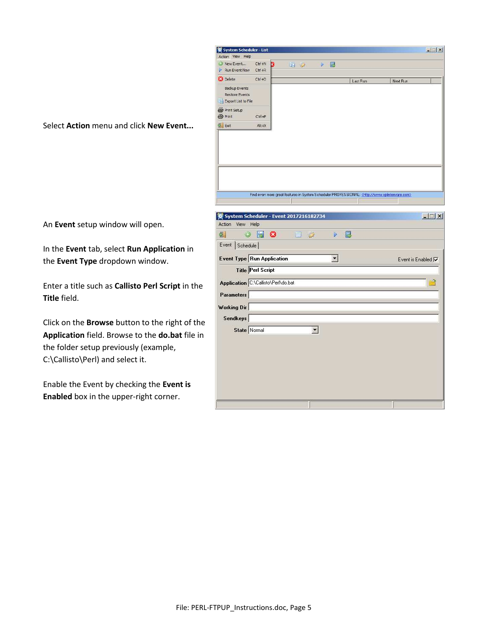

Select **Action** menu and click **New Event...**

An **Event** setup window will open.

In the **Event** tab, select **Run Application** in the **Event Type** dropdown window.

Enter a title such as **Callisto Perl Script** in the **Title** field.

Click on the **Browse** button to the right of the **Application** field. Browse to the **do.bat** file in the folder setup previously (example, C:\Callisto\Perl) and select it.

Enable the Event by checking the **Event is Enabled** box in the upper-right corner.

|                     | C System Scheduler - Event 2017216182734 | $\Box$              |
|---------------------|------------------------------------------|---------------------|
| Action<br>View Help |                                          |                     |
| ۵<br>圖              | E<br>G<br>$\Box$ $\Box$<br>區<br>Þ        |                     |
| Event<br>Schedule   |                                          |                     |
|                     | <b>Event Type Run Application</b>        | Event is Enabled IV |
|                     | <b>Title Perl Script</b>                 |                     |
|                     | Application C:\Callisto\Perl\do.bat      |                     |
| Parameters          |                                          |                     |
| <b>Working Dir</b>  |                                          |                     |
| <b>Sendkeys</b>     |                                          |                     |
|                     | State Normal                             |                     |
|                     |                                          |                     |
|                     |                                          |                     |
|                     |                                          |                     |
|                     |                                          |                     |
|                     |                                          |                     |
|                     |                                          |                     |
|                     |                                          |                     |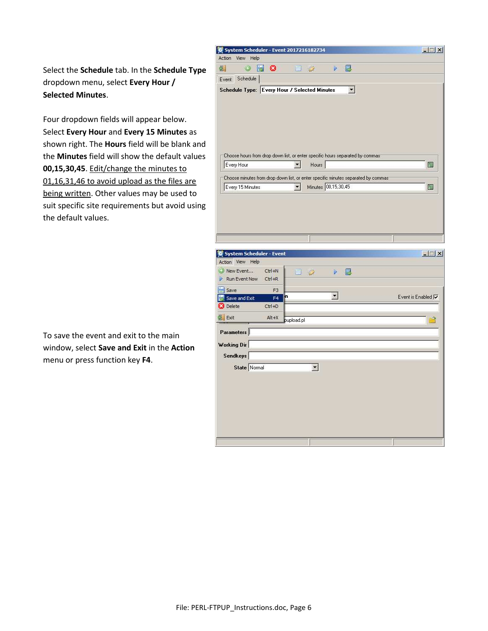Select the **Schedule** tab. In the **Schedule Type** dropdown menu, select **Every Hour / Selected Minutes**.

Four dropdown fields will appear below. Select **Every Hour** and **Every 15 Minutes** as shown right. The **Hours** field will be blank and the **Minutes** field will show the default values **00,15,30,45**. Edit/change the minutes to 01,16,31,46 to avoid upload as the files are being written. Other values may be used to suit specific site requirements but avoid using the default values.

To save the event and exit to the main window, select **Save and Exit** in the **Action** menu or press function key **F4**.

|                                                            |                |                          |                                                                                                          | $\Box$             |
|------------------------------------------------------------|----------------|--------------------------|----------------------------------------------------------------------------------------------------------|--------------------|
| Action<br>View<br>Help<br>۵<br>녧                           | B<br>Ø         | 圓<br>G                   | B<br>Þ                                                                                                   |                    |
| Schedule<br>Event                                          |                |                          |                                                                                                          |                    |
| Schedule Type: Every Hour / Selected Minutes               |                |                          | 회                                                                                                        |                    |
|                                                            |                |                          |                                                                                                          |                    |
|                                                            |                |                          |                                                                                                          |                    |
|                                                            |                |                          |                                                                                                          |                    |
|                                                            |                |                          |                                                                                                          |                    |
|                                                            |                |                          |                                                                                                          |                    |
|                                                            |                |                          |                                                                                                          |                    |
|                                                            |                |                          | Choose hours from drop down list, or enter specific hours separated by commas                            |                    |
| Every Hour                                                 |                | $\mathbf{r}$<br>Hours    |                                                                                                          | 图                  |
|                                                            |                |                          |                                                                                                          |                    |
|                                                            |                | $\vert$                  | Choose minutes from drop down list, or enter specific minutes separated by commas<br>Minutes 00,15,30,45 |                    |
| Every 15 Minutes                                           |                |                          |                                                                                                          | 12                 |
|                                                            |                |                          |                                                                                                          |                    |
|                                                            |                |                          |                                                                                                          |                    |
|                                                            |                |                          |                                                                                                          |                    |
|                                                            |                |                          |                                                                                                          |                    |
| System Scheduler - Event                                   |                |                          |                                                                                                          | $\Box$             |
| Action View Help                                           |                |                          |                                                                                                          |                    |
|                                                            |                | 眉<br>$\mathbb{S}$        | 區<br>Þ                                                                                                   |                    |
|                                                            | $Ctr1+N$       |                          |                                                                                                          |                    |
| Run Event Now                                              | $CtrI + R$     |                          |                                                                                                          |                    |
| Save:                                                      | F <sub>3</sub> |                          |                                                                                                          |                    |
| Save and Exit                                              | m<br>F4        |                          | $\mathbf{r}$                                                                                             |                    |
| Delete                                                     | $Ctrl + D$     |                          |                                                                                                          |                    |
|                                                            | $Alt+X$        | pupload.pl               |                                                                                                          |                    |
|                                                            |                |                          |                                                                                                          |                    |
|                                                            |                |                          |                                                                                                          |                    |
|                                                            |                |                          |                                                                                                          |                    |
| Sendkeys                                                   |                |                          |                                                                                                          |                    |
| State Normal                                               |                | $\vert \mathbf{r} \vert$ |                                                                                                          |                    |
| New Event<br>Þ<br>Exit<br><b>Parameters</b><br>Working Dir |                |                          |                                                                                                          |                    |
|                                                            |                |                          |                                                                                                          |                    |
|                                                            |                |                          |                                                                                                          |                    |
|                                                            |                |                          |                                                                                                          |                    |
|                                                            |                |                          |                                                                                                          | Event is Enabled V |
|                                                            |                |                          |                                                                                                          |                    |
|                                                            |                |                          |                                                                                                          |                    |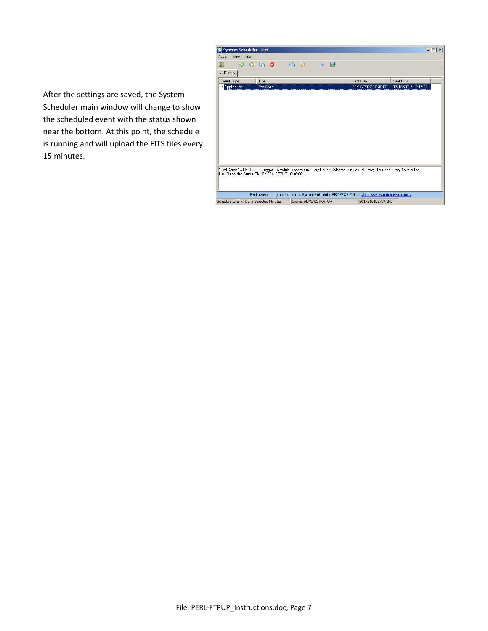

After the settings are saved, the System Scheduler main window will change to show the scheduled event with the status shown near the bottom. At this point, the schedule is running and will upload the FITS files every 15 minutes.